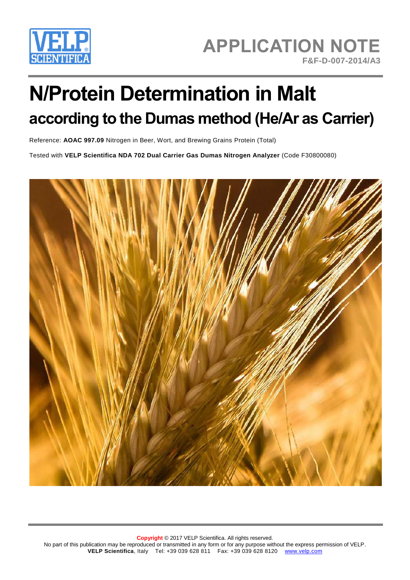

# **N/Protein Determination in Malt according to the Dumas method (He/Ar as Carrier)**

Reference: **AOAC 997.09** Nitrogen in Beer, Wort, and Brewing Grains Protein (Total)

Tested with **VELP Scientifica NDA 702 Dual Carrier Gas Dumas Nitrogen Analyzer** (Code F30800080)

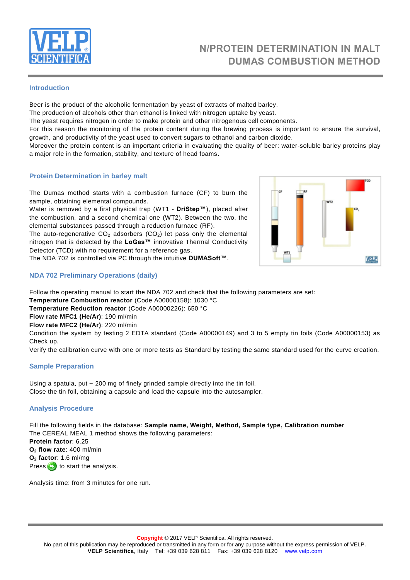

# **N/PROTEIN DETERMINATION IN MALT DUMAS COMBUSTION METHOD**

#### **Introduction**

Beer is the product of the alcoholic fermentation by yeast of extracts of malted barley.

The production of alcohols other than ethanol is linked with nitrogen uptake by yeast.

The yeast requires nitrogen in order to make protein and other nitrogenous cell components.

For this reason the monitoring of the protein content during the brewing process is important to ensure the survival, growth, and productivity of the yeast used to convert sugars to ethanol and carbon dioxide.

Moreover the protein content is an important criteria in evaluating the quality of beer: water-soluble barley proteins play a major role in the formation, stability, and texture of head foams.

#### **Protein Determination in barley malt**

The Dumas method starts with a combustion furnace (CF) to burn the sample, obtaining elemental compounds.

Water is removed by a first physical trap (WT1 - **DriStep™**), placed after the combustion, and a second chemical one (WT2). Between the two, the elemental substances passed through a reduction furnace (RF).

The auto-regenerative  $CO<sub>2</sub>$  adsorbers ( $CO<sub>2</sub>$ ) let pass only the elemental nitrogen that is detected by the **LoGas™** innovative Thermal Conductivity Detector (TCD) with no requirement for a reference gas.

The NDA 702 is controlled via PC through the intuitive **DUMASoft™**.

## **NDA 702 Preliminary Operations (daily)**

Follow the operating manual to start the NDA 702 and check that the following parameters are set:

**Temperature Combustion reactor** (Code A00000158): 1030 °C

**Temperature Reduction reactor** (Code A00000226): 650 °C

**Flow rate MFC1 (He/Ar)**: 190 ml/min

**Flow rate MFC2 (He/Ar)**: 220 ml/min

Condition the system by testing 2 EDTA standard (Code A00000149) and 3 to 5 empty tin foils (Code A00000153) as Check up.

Verify the calibration curve with one or more tests as Standard by testing the same standard used for the curve creation.

#### **Sample Preparation**

Using a spatula, put ~ 200 mg of finely grinded sample directly into the tin foil. Close the tin foil, obtaining a capsule and load the capsule into the autosampler.

## **Analysis Procedure**

Fill the following fields in the database: **Sample name, Weight, Method, Sample type, Calibration number** The CEREAL MEAL 1 method shows the following parameters: **Protein factor**: 6.25 **O<sup>2</sup> flow rate**: 400 ml/min **O<sup>2</sup> factor**: 1.6 ml/mg Press  $\Theta$  to start the analysis.

Analysis time: from 3 minutes for one run.